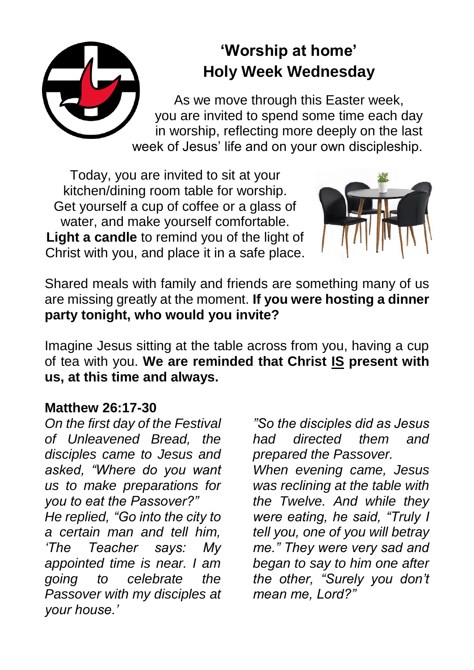# **'Worship at home' Holy Week Wednesday** As we move through this Easter week, you are invited to spend some time each day in worship, reflecting more deeply on the last week of Jesus' life and on your own discipleship.

Today, you are invited to sit at your kitchen/dining room table for worship. Get yourself a cup of coffee or a glass of water, and make yourself comfortable. **Light a candle** to remind you of the light of Christ with you, and place it in a safe place.



Shared meals with family and friends are something many of us are missing greatly at the moment. **If you were hosting a dinner party tonight, who would you invite?**

Imagine Jesus sitting at the table across from you, having a cup of tea with you. **We are reminded that Christ IS present with us, at this time and always.**

## **Matthew 26:17-30**

*On the first day of the Festival of Unleavened Bread, the disciples came to Jesus and asked, "Where do you want us to make preparations for you to eat the Passover?" He replied, "Go into the city to a certain man and tell him, 'The Teacher says: My appointed time is near. I am going to celebrate the Passover with my disciples at your house.'*

*"So the disciples did as Jesus had directed them and prepared the Passover.*

*When evening came, Jesus was reclining at the table with the Twelve. And while they were eating, he said, "Truly I tell you, one of you will betray me." They were very sad and began to say to him one after the other, "Surely you don't mean me, Lord?"*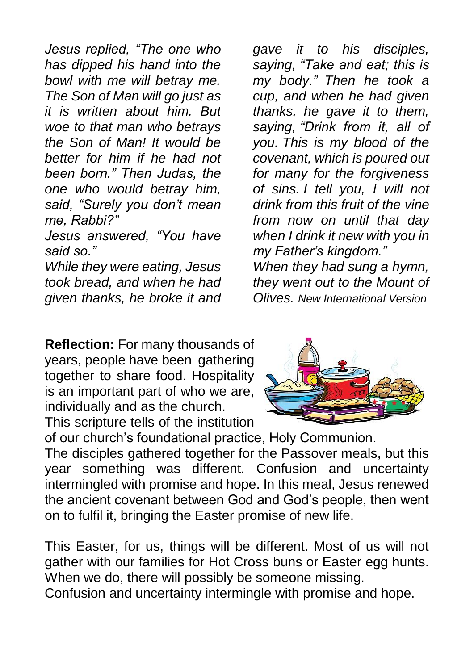*Jesus replied, "The one who has dipped his hand into the bowl with me will betray me. The Son of Man will go just as it is written about him. But woe to that man who betrays the Son of Man! It would be better for him if he had not been born." Then Judas, the one who would betray him, said, "Surely you don't mean me, Rabbi?"* 

*Jesus answered, "You have said so."*

*While they were eating, Jesus took bread, and when he had given thanks, he broke it and*  *gave it to his disciples, saying, "Take and eat; this is my body." Then he took a cup, and when he had given thanks, he gave it to them, saying, "Drink from it, all of you. This is my blood of the covenant, which is poured out for many for the forgiveness of sins. I tell you, I will not drink from this fruit of the vine from now on until that day when I drink it new with you in my Father's kingdom."*

*When they had sung a hymn, they went out to the Mount of Olives. New International Version*

**Reflection:** For many thousands of years, people have been gathering together to share food. Hospitality is an important part of who we are, individually and as the church.



This scripture tells of the institution of our church's foundational practice, Holy Communion.

The disciples gathered together for the Passover meals, but this year something was different. Confusion and uncertainty intermingled with promise and hope. In this meal, Jesus renewed the ancient covenant between God and God's people, then went on to fulfil it, bringing the Easter promise of new life.

This Easter, for us, things will be different. Most of us will not gather with our families for Hot Cross buns or Easter egg hunts. When we do, there will possibly be someone missing. Confusion and uncertainty intermingle with promise and hope.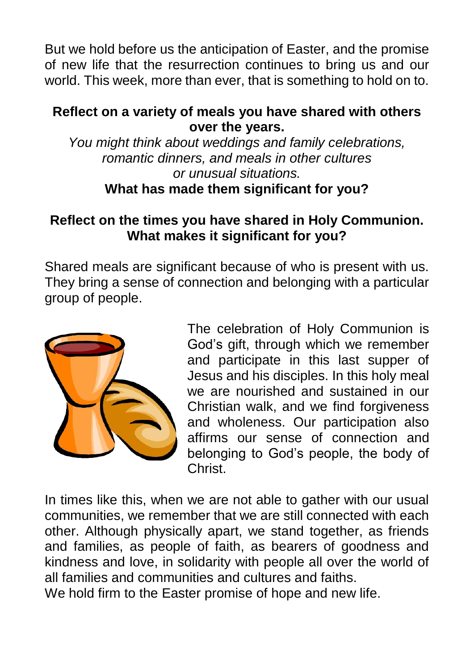But we hold before us the anticipation of Easter, and the promise of new life that the resurrection continues to bring us and our world. This week, more than ever, that is something to hold on to.

### **Reflect on a variety of meals you have shared with others over the years.**

*You might think about weddings and family celebrations, romantic dinners, and meals in other cultures or unusual situations.* **What has made them significant for you?**

### **Reflect on the times you have shared in Holy Communion. What makes it significant for you?**

Shared meals are significant because of who is present with us. They bring a sense of connection and belonging with a particular group of people.



The celebration of Holy Communion is God's gift, through which we remember and participate in this last supper of Jesus and his disciples. In this holy meal we are nourished and sustained in our Christian walk, and we find forgiveness and wholeness. Our participation also affirms our sense of connection and belonging to God's people, the body of Christ.

In times like this, when we are not able to gather with our usual communities, we remember that we are still connected with each other. Although physically apart, we stand together, as friends and families, as people of faith, as bearers of goodness and kindness and love, in solidarity with people all over the world of all families and communities and cultures and faiths.

We hold firm to the Easter promise of hope and new life.